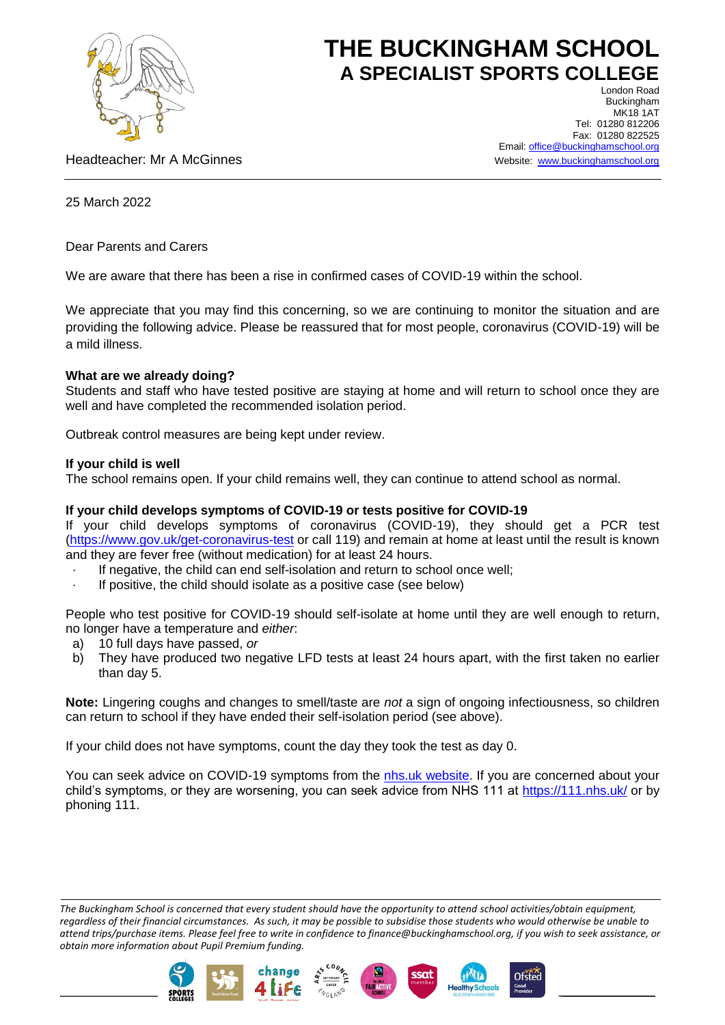

# **THE BUCKINGHAM SCHOOL A SPECIALIST SPORTS COLLEGE**

Headteacher: Mr A McGinnes

London Road Buckingham MK18 1AT Tel: 01280 812206 Fax: 01280 822525 Email[: office@buckinghamschool.org](mailto:office@buckinghamschool.org) Website: [www.buckinghamschool.org](http://www.buckinghamschool.org/)

25 March 2022

Dear Parents and Carers

We are aware that there has been a rise in confirmed cases of COVID-19 within the school.

We appreciate that you may find this concerning, so we are continuing to monitor the situation and are providing the following advice. Please be reassured that for most people, coronavirus (COVID-19) will be a mild illness.

## **What are we already doing?**

Students and staff who have tested positive are staying at home and will return to school once they are well and have completed the recommended isolation period.

Outbreak control measures are being kept under review.

## **If your child is well**

The school remains open. If your child remains well, they can continue to attend school as normal.

# **If your child develops symptoms of COVID-19 or tests positive for COVID-19**

If your child develops symptoms of coronavirus (COVID-19), they should get a PCR test [\(https://www.gov.uk/get-coronavirus-test](https://www.gov.uk/get-coronavirus-test) or call 119) and remain at home at least until the result is known and they are fever free (without medication) for at least 24 hours.

- If negative, the child can end self-isolation and return to school once well;
- If positive, the child should isolate as a positive case (see below)

People who test positive for COVID-19 should self-isolate at home until they are well enough to return, no longer have a temperature and *either*:

- a) 10 full days have passed, *or*
- b) They have produced two negative LFD tests at least 24 hours apart, with the first taken no earlier than day 5.

**Note:** Lingering coughs and changes to smell/taste are *not* a sign of ongoing infectiousness, so children can return to school if they have ended their self-isolation period (see above).

If your child does not have symptoms, count the day they took the test as day 0.

You can seek advice on COVID-19 symptoms from the [nhs.uk website.](https://www.nhs.uk/conditions/coronavirus-covid-19/check-if-you-have-coronavirus-symptoms/) If you are concerned about your child's symptoms, or they are worsening, you can seek advice from NHS 111 at<https://111.nhs.uk/> or by phoning 111.

*The Buckingham School is concerned that every student should have the opportunity to attend school activities/obtain equipment, regardless of their financial circumstances. As such, it may be possible to subsidise those students who would otherwise be unable to attend trips/purchase items. Please feel free to write in confidence to finance@buckinghamschool.org, if you wish to seek assistance, or obtain more information about Pupil Premium funding.*







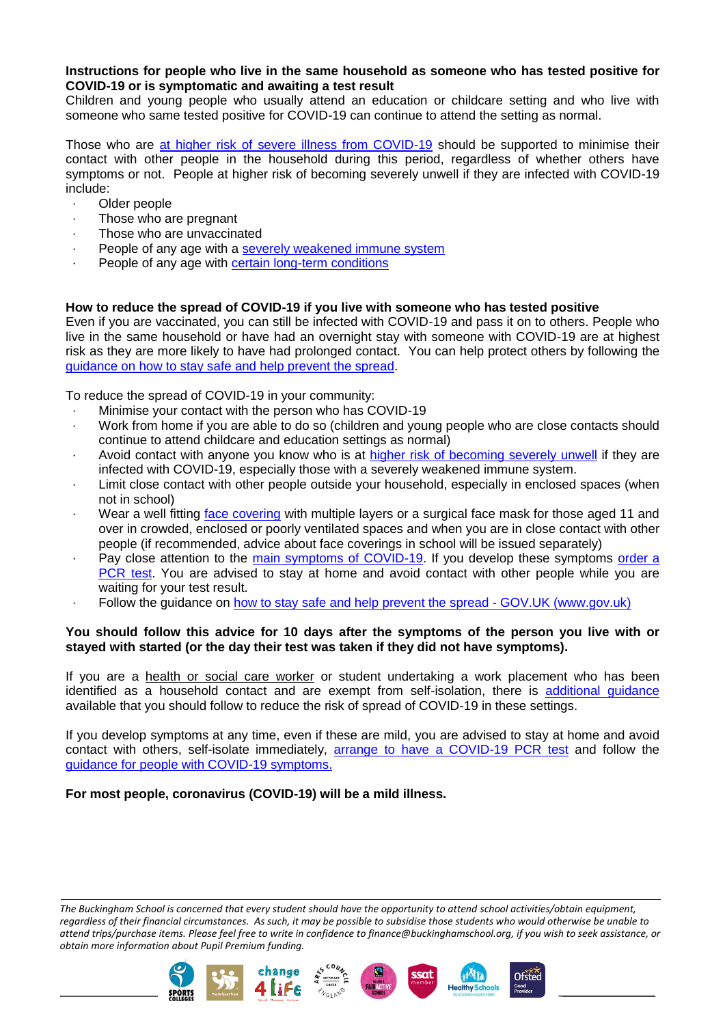#### **Instructions for people who live in the same household as someone who has tested positive for COVID-19 or is symptomatic and awaiting a test result**

Children and young people who usually attend an education or childcare setting and who live with someone who same tested positive for COVID-19 can continue to attend the setting as normal.

Those who are [at higher risk of severe illness from COVID-19](https://www.gov.uk/government/publications/guidance-on-shielding-and-protecting-extremely-vulnerable-persons-from-covid-19/guidance-on-shielding-and-protecting-extremely-vulnerable-persons-from-covid-19) should be supported to minimise their contact with other people in the household during this period, regardless of whether others have symptoms or not. People at higher risk of becoming severely unwell if they are infected with COVID-19 include:

- Older people
- Those who are pregnant
- Those who are unvaccinated
- People of any age with a [severely weakened immune system](https://www.gov.uk/government/publications/covid-19-guidance-for-people-whose-immune-system-means-they-are-at-higher-risk)
- People of any age with [certain long-term conditions](https://www.nhs.uk/conditions/coronavirus-covid-19/people-at-higher-risk/who-is-at-high-risk-from-coronavirus/)

## **How to reduce the spread of COVID-19 if you live with someone who has tested positive**

Even if you are vaccinated, you can still be infected with COVID-19 and pass it on to others. People who live in the same household or have had an overnight stay with someone with COVID-19 are at highest risk as they are more likely to have had prolonged contact. You can help protect others by following the [guidance on how to stay safe and help prevent the spread.](https://www.gov.uk/guidance/covid-19-coronavirus-restrictions-what-you-can-and-cannot-do#keeping-yourself-and-others-safe)

To reduce the spread of COVID-19 in your community:

- Minimise your contact with the person who has COVID-19
- · Work from home if you are able to do so (children and young people who are close contacts should continue to attend childcare and education settings as normal)
- Avoid contact with anyone you know who is at [higher risk of becoming severely](https://www.gov.uk/government/publications/covid-19-people-with-covid-19-and-their-contacts/covid-19-people-with-covid-19-and-their-contacts#higherrisk) unwell if they are infected with COVID-19, especially those with a severely weakened immune system.
- Limit close contact with other people outside your household, especially in enclosed spaces (when not in school)
- Wear a well fitting [face covering](https://www.gov.uk/government/publications/face-coverings-when-to-wear-one-and-how-to-make-your-own) with multiple layers or a surgical face mask for those aged 11 and over in crowded, enclosed or poorly ventilated spaces and when you are in close contact with other people (if recommended, advice about face coverings in school will be issued separately)
- Pay close attention to the [main symptoms of COVID-19.](https://www.gov.uk/government/publications/covid-19-people-with-covid-19-and-their-contacts/covid-19-people-with-covid-19-and-their-contacts#symptoms) If you develop these symptoms order a [PCR test.](https://www.gov.uk/get-coronavirus-test) You are advised to stay at home and avoid contact with other people while you are waiting for your test result.
- Follow the guidance on how to stay safe and help prevent the spread GOV.UK (www.gov.uk)

## **You should follow this advice for 10 days after the symptoms of the person you live with or stayed with started (or the day their test was taken if they did not have symptoms).**

If you are a health or social care worker or student undertaking a work placement who has been identified as a household contact and are exempt from self-isolation, there is [additional guidance](https://www.gov.uk/government/publications/covid-19-management-of-exposed-healthcare-workers-and-patients-in-hospital-settings/covid-19-management-of-exposed-healthcare-workers-and-patients-in-hospital-settings) available that you should follow to reduce the risk of spread of COVID-19 in these settings.

If you develop symptoms at any time, even if these are mild, you are advised to stay at home and avoid contact with others, self-isolate immediately, [arrange to have a COVID-19 PCR test](https://www.gov.uk/get-coronavirus-test) and follow the [guidance for people with COVID-19 symptoms.](https://www.gov.uk/government/publications/covid-19-stay-at-home-guidance/stay-at-home-guidance-for-households-with-possible-coronavirus-covid-19-infection#SymptomsPositiveTest)

**For most people, coronavirus (COVID-19) will be a mild illness.**

*The Buckingham School is concerned that every student should have the opportunity to attend school activities/obtain equipment, regardless of their financial circumstances. As such, it may be possible to subsidise those students who would otherwise be unable to attend trips/purchase items. Please feel free to write in confidence to finance@buckinghamschool.org, if you wish to seek assistance, or obtain more information about Pupil Premium funding.*